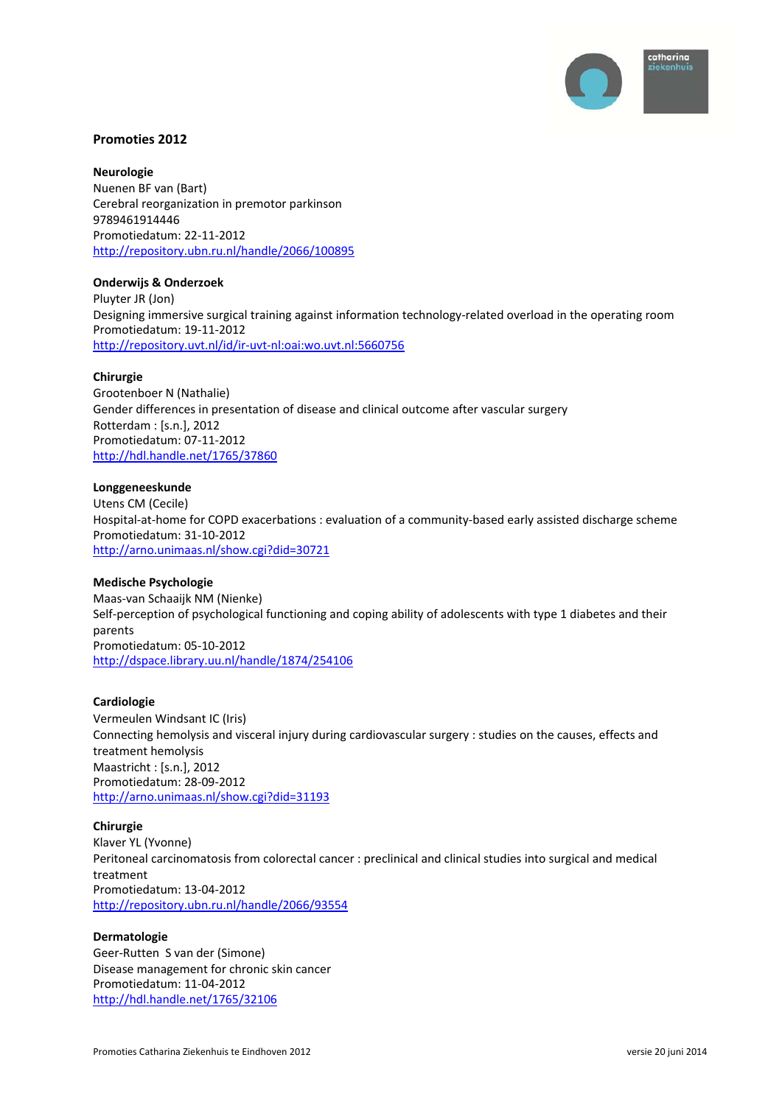

## **Promoties 2012**

**Neurologie** Nuenen BF van (Bart) Cerebral reorganization in premotor parkinson 9789461914446 Promotiedatum: 22‐11‐2012 http://repository.ubn.ru.nl/handle/2066/100895

#### **Onderwijs & Onderzoek**

Pluyter JR (Jon) Designing immersive surgical training against information technology-related overload in the operating room Promotiedatum: 19‐11‐2012 http://repository.uvt.nl/id/ir‐uvt‐nl:oai:wo.uvt.nl:5660756

#### **Chirurgie**

Grootenboer N (Nathalie) Gender differences in presentation of disease and clinical outcome after vascular surgery Rotterdam : [s.n.], 2012 Promotiedatum: 07‐11‐2012 http://hdl.handle.net/1765/37860

#### **Longgeneeskunde**

Utens CM (Cecile) Hospital‐at‐home for COPD exacerbations : evaluation of a community‐based early assisted discharge scheme Promotiedatum: 31‐10‐2012 http://arno.unimaas.nl/show.cgi?did=30721

#### **Medische Psychologie**

Maas‐van Schaaijk NM (Nienke) Self-perception of psychological functioning and coping ability of adolescents with type 1 diabetes and their parents Promotiedatum: 05‐10‐2012 http://dspace.library.uu.nl/handle/1874/254106

#### **Cardiologie**

Vermeulen Windsant IC (Iris) Connecting hemolysis and visceral injury during cardiovascular surgery : studies on the causes, effects and treatment hemolysis Maastricht : [s.n.], 2012 Promotiedatum: 28‐09‐2012 http://arno.unimaas.nl/show.cgi?did=31193

#### **Chirurgie**

Klaver YL (Yvonne) Peritoneal carcinomatosis from colorectal cancer : preclinical and clinical studies into surgical and medical treatment Promotiedatum: 13‐04‐2012 http://repository.ubn.ru.nl/handle/2066/93554

#### **Dermatologie**

Geer‐Rutten S van der (Simone) Disease management for chronic skin cancer Promotiedatum: 11‐04‐2012 http://hdl.handle.net/1765/32106